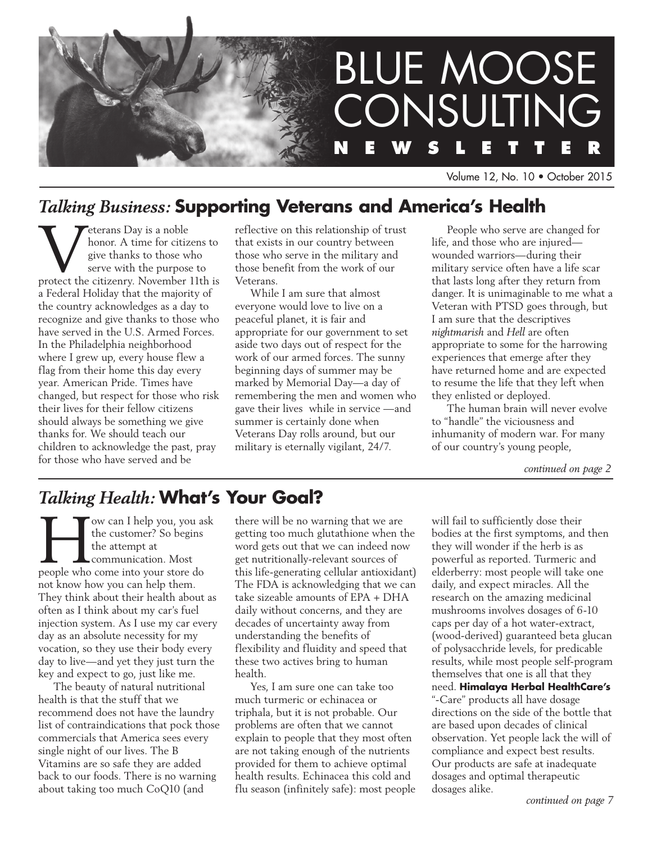

Volume 12, No. 10 • October 2015

# *Talking Business:* **Supporting Veterans and America's Health**

**VENDER CONTROVER 18 A SERVIET A SURVEYOR A LIFE SIDE A** since the serve with the purpose to protect the citizenry. November 11th is honor. A time for citizens to give thanks to those who serve with the purpose to a Federal Holiday that the majority of the country acknowledges as a day to recognize and give thanks to those who have served in the U.S. Armed Forces. In the Philadelphia neighborhood where I grew up, every house flew a flag from their home this day every year. American Pride. Times have changed, but respect for those who risk their lives for their fellow citizens should always be something we give thanks for. We should teach our children to acknowledge the past, pray for those who have served and be

reflective on this relationship of trust that exists in our country between those who serve in the military and those benefit from the work of our Veterans.

While I am sure that almost everyone would love to live on a peaceful planet, it is fair and appropriate for our government to set aside two days out of respect for the work of our armed forces. The sunny beginning days of summer may be marked by Memorial Day—a day of remembering the men and women who gave their lives while in service —and summer is certainly done when Veterans Day rolls around, but our military is eternally vigilant, 24/7.

People who serve are changed for life, and those who are injured wounded warriors—during their military service often have a life scar that lasts long after they return from danger. It is unimaginable to me what a Veteran with PTSD goes through, but I am sure that the descriptives *nightmarish* and *Hell* are often appropriate to some for the harrowing experiences that emerge after they have returned home and are expected to resume the life that they left when they enlisted or deployed.

The human brain will never evolve to "handle" the viciousness and inhumanity of modern war. For many of our country's young people,

*continued on page 2*

# *Talking Health:* **What's Your Goal?**

**How can I help you, you ask the customer?** So begins the attempt at communication. Most people who come into your store do the customer? So begins the attempt at communication. Most not know how you can help them. They think about their health about as often as I think about my car's fuel injection system. As I use my car every day as an absolute necessity for my vocation, so they use their body every day to live—and yet they just turn the key and expect to go, just like me.

The beauty of natural nutritional health is that the stuff that we recommend does not have the laundry list of contraindications that pock those commercials that America sees every single night of our lives. The B Vitamins are so safe they are added back to our foods. There is no warning about taking too much CoQ10 (and

there will be no warning that we are getting too much glutathione when the word gets out that we can indeed now get nutritionally-relevant sources of this life-generating cellular antioxidant) The FDA is acknowledging that we can take sizeable amounts of EPA + DHA daily without concerns, and they are decades of uncertainty away from understanding the benefits of flexibility and fluidity and speed that these two actives bring to human health.

Yes, I am sure one can take too much turmeric or echinacea or triphala, but it is not probable. Our problems are often that we cannot explain to people that they most often are not taking enough of the nutrients provided for them to achieve optimal health results. Echinacea this cold and flu season (infinitely safe): most people will fail to sufficiently dose their bodies at the first symptoms, and then they will wonder if the herb is as powerful as reported. Turmeric and elderberry: most people will take one daily, and expect miracles. All the research on the amazing medicinal mushrooms involves dosages of 6-10 caps per day of a hot water-extract, (wood-derived) guaranteed beta glucan of polysacchride levels, for predicable results, while most people self-program themselves that one is all that they need. **Himalaya Herbal HealthCare's** "-Care" products all have dosage directions on the side of the bottle that are based upon decades of clinical observation. Yet people lack the will of compliance and expect best results. Our products are safe at inadequate dosages and optimal therapeutic dosages alike.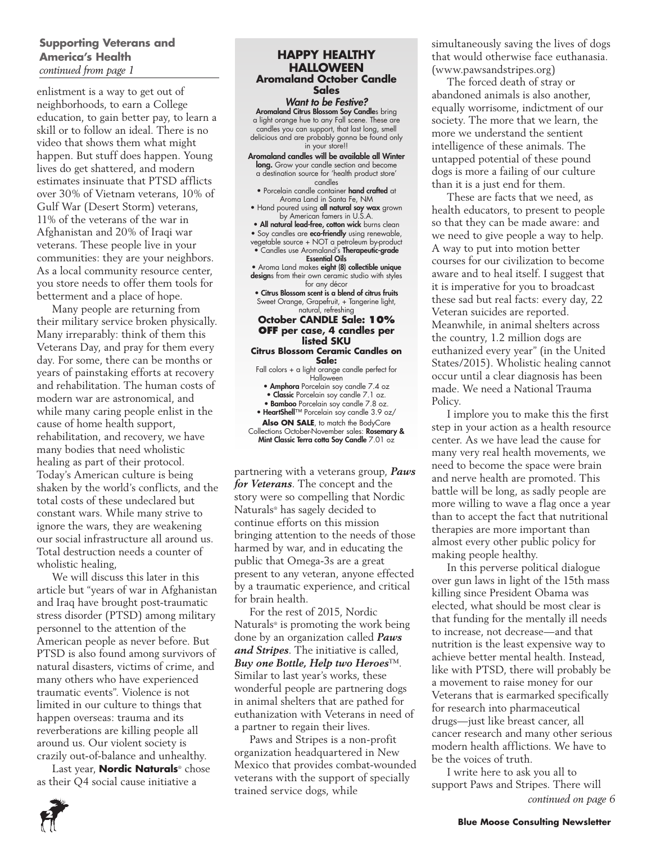### **Supporting Veterans and America's Health**  *continued from page 1*

enlistment is a way to get out of neighborhoods, to earn a College education, to gain better pay, to learn a skill or to follow an ideal. There is no video that shows them what might happen. But stuff does happen. Young lives do get shattered, and modern estimates insinuate that PTSD afflicts over 30% of Vietnam veterans, 10% of Gulf War (Desert Storm) veterans, 11% of the veterans of the war in Afghanistan and 20% of Iraqi war veterans. These people live in your communities: they are your neighbors. As a local community resource center, you store needs to offer them tools for betterment and a place of hope.

Many people are returning from their military service broken physically. Many irreparably: think of them this Veterans Day, and pray for them every day. For some, there can be months or years of painstaking efforts at recovery and rehabilitation. The human costs of modern war are astronomical, and while many caring people enlist in the cause of home health support, rehabilitation, and recovery, we have many bodies that need wholistic healing as part of their protocol. Today's American culture is being shaken by the world's conflicts, and the total costs of these undeclared but constant wars. While many strive to ignore the wars, they are weakening our social infrastructure all around us. Total destruction needs a counter of wholistic healing,

We will discuss this later in this article but "years of war in Afghanistan and Iraq have brought post-traumatic stress disorder (PTSD) among military personnel to the attention of the American people as never before. But PTSD is also found among survivors of natural disasters, victims of crime, and many others who have experienced traumatic events". Violence is not limited in our culture to things that happen overseas: trauma and its reverberations are killing people all around us. Our violent society is crazily out-of-balance and unhealthy.

Last year, **Nordic Naturals**® chose as their Q4 social cause initiative a

#### **HAPPY HEALTHY HALLOWEEN Aromaland October Candle Sales**

# *Want to be Festive?*

Aromaland Citrus Blossom Soy Candles bring a light orange hue to any Fall scene. These are candles you can support, that last long, smell delicious and are probably gonna be found only in your store!!

Aromaland candles will be available all Winter long. Grow your candle section and become a destination source for 'health product store'

- candles<br>• Porcelain candle container **hand crafted** at
- Aroma Land in Santa Fe, NM • Hand poured using **all natural soy wax** grown by American famers in U.S.A.

• All natural lead-free, cotton wick burns clean

• Soy candles are **eco-friendly** using renewable,

vegetable source + NOT a petroleum by-product • Candles use Aromaland's Therapeutic-grade Essential Oils

• Aroma Land makes eight (8) collectible unique designs from their own ceramic studio with styles

for any décor • Citrus Blossom scent is a blend of citrus fruits

Sweet Orange, Grapefruit, + Tangerine light, natural, refreshing

#### **October CANDLE Sale: 10% OFF per case, 4 candles per listed SKU**

#### **Citrus Blossom Ceramic Candles on Sale:**

Fall colors + a light orange candle perfect for **Halloween** 

• Amphora Porcelain soy candle 7.4 oz

• Classic Porcelain soy candle 7.1 oz. • Bamboo Porcelain soy candle 7.8 oz.

• HeartShell™ Porcelain soy candle 3.9 oz/

Also ON SALE, to match the BodyCare

Collections October-November sales: Rosemary & Mint Classic Terra cotta Soy Candle 7.01 oz

partnering with a veterans group, *Paws for Veterans*. The concept and the story were so compelling that Nordic Naturals® has sagely decided to continue efforts on this mission bringing attention to the needs of those harmed by war, and in educating the public that Omega-3s are a great present to any veteran, anyone effected by a traumatic experience, and critical for brain health.

For the rest of 2015, Nordic Naturals® is promoting the work being done by an organization called *Paws and Stripes*. The initiative is called, *Buy one Bottle, Help two Heroes*™. Similar to last year's works, these wonderful people are partnering dogs in animal shelters that are pathed for euthanization with Veterans in need of a partner to regain their lives.

Paws and Stripes is a non-profit organization headquartered in New Mexico that provides combat-wounded veterans with the support of specially trained service dogs, while

simultaneously saving the lives of dogs that would otherwise face euthanasia. (www.pawsandstripes.org)

The forced death of stray or abandoned animals is also another, equally worrisome, indictment of our society. The more that we learn, the more we understand the sentient intelligence of these animals. The untapped potential of these pound dogs is more a failing of our culture than it is a just end for them.

These are facts that we need, as health educators, to present to people so that they can be made aware: and we need to give people a way to help. A way to put into motion better courses for our civilization to become aware and to heal itself. I suggest that it is imperative for you to broadcast these sad but real facts: every day, 22 Veteran suicides are reported. Meanwhile, in animal shelters across the country, 1.2 million dogs are euthanized every year" (in the United States/2015). Wholistic healing cannot occur until a clear diagnosis has been made. We need a National Trauma Policy.

I implore you to make this the first step in your action as a health resource center. As we have lead the cause for many very real health movements, we need to become the space were brain and nerve health are promoted. This battle will be long, as sadly people are more willing to wave a flag once a year than to accept the fact that nutritional therapies are more important than almost every other public policy for making people healthy.

In this perverse political dialogue over gun laws in light of the 15th mass killing since President Obama was elected, what should be most clear is that funding for the mentally ill needs to increase, not decrease—and that nutrition is the least expensive way to achieve better mental health. Instead, like with PTSD, there will probably be a movement to raise money for our Veterans that is earmarked specifically for research into pharmaceutical drugs—just like breast cancer, all cancer research and many other serious modern health afflictions. We have to be the voices of truth.

I write here to ask you all to support Paws and Stripes. There will *continued on page 6*

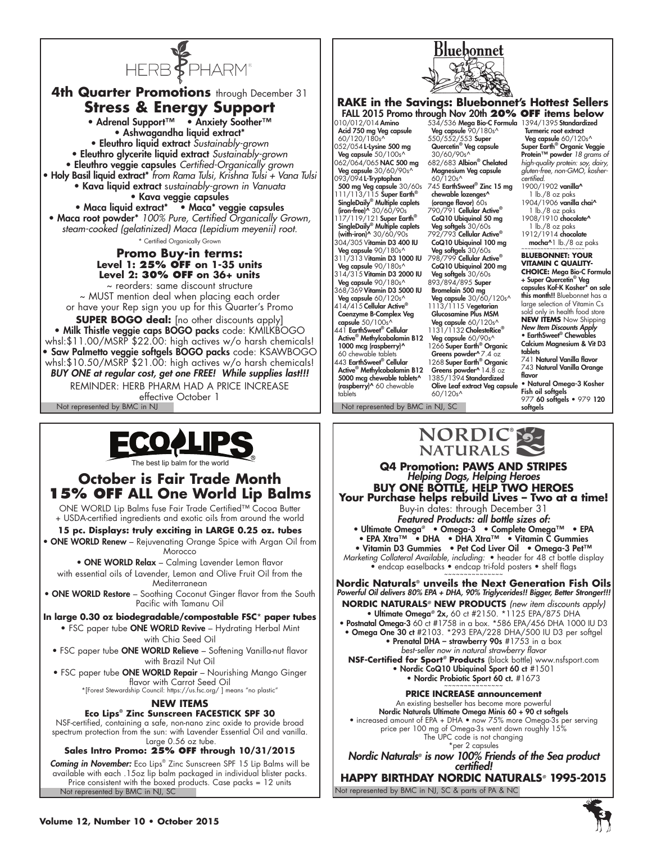

**4th Quarter Promotions** through December 31 **Stress & Energy Support** • Adrenal Support™ • Anxiety Soother™ • Ashwagandha liquid extract\* • Eleuthro liquid extract *Sustainably-grown* • Eleuthro glycerite liquid extract *Sustainably-grown* • Eleuthro veggie capsules *Certified-Organically grown* • Holy Basil liquid extract\* *from Rama Tulsi, Krishna Tulsi + Vana Tulsi* • Kava liquid extract s*ustainably-grown in Vanuata* • Kava veggie capsules • Maca liquid extract\* • Maca\* veggie capsules • Maca root powder\* *100% Pure, Certified Organically Grown, steam-cooked (gelatinized) Maca (Lepidium meyenii) root.* \* Certified Organically Grown **Promo Buy-in terms: Level 1: 25% OFF on 1-35 units Level 2: 30% OFF on 36+ units** ~ reorders: same discount structure ~ MUST mention deal when placing each order or have your Rep sign you up for this Quarter's Promo **SUPER BOGO deal:** [no other discounts apply] • Milk Thistle veggie caps BOGO packs code: KMILKBOGO whsl:\$11.00/MSRP \$22.00: high actives w/o harsh chemicals! • Saw Palmetto veggie softgels BOGO packs code: KSAWBOGO

whsl:\$10.50/MSRP \$21.00: high actives w/o harsh chemicals! *BUY ONE at regular cost, get one FREE! While supplies last!!!* REMINDER: HERB PHARM HAD A PRICE INCREASE

Not represented by BMC in NJ Not represented by BMC in NJ, SC effective October 1



The best lip balm for the world

# **October is Fair Trade Month 15% OFF ALL One World Lip Balms**

ONE WORLD Lip Balms fuse Fair Trade Certified™ Cocoa Butter + USDA-certified ingredients and exotic oils from around the world

### **15 pc. Displays: truly exciting in LARGE 0.25 oz. tubes**

• ONE WORLD Renew – Rejuvenating Orange Spice with Argan Oil from **Morocco** 

• ONE WORLD Relax – Calming Lavender Lemon flavor with essential oils of Lavender, Lemon and Olive Fruit Oil from the Mediterranean

• ONE WORLD Restore - Soothing Coconut Ginger flavor from the South Pacific with Tamanu Oil

**In large 0.30 oz biodegradable/compostable FSC**\* **paper tubes •** FSC paper tube ONE WORLD Revive – Hydrating Herbal Mint with Chia Seed Oil

• FSC paper tube ONE WORLD Relieve – Softening Vanilla-nut flavor with Brazil Nut Oil

• FSC paper tube ONE WORLD Repair – Nourishing Mango Ginger flavor with Carrot Seed Oil

\*[Forest Stewardship Council: https://us.fsc.org/ ] means "no plastic"

## **NEW ITEMS**

#### **Eco Lips® Zinc Sunscreen FACESTICK SPF 30**

NSF-certified, containing a safe, non-nano zinc oxide to provide broad spectrum protection from the sun: with Lavender Essential Oil and vanilla. Large 0.56 oz tube.

### **Sales Intro Promo: 25% off through 10/31/2015**

Not represented by BMC in NJ, SC *Coming in November:* Eco Lips® Zinc Sunscreen SPF 15 Lip Balms will be available with each .15oz lip balm packaged in individual blister packs. Price consistent with the boxed products. Case packs = 12 units



#### **RAKE in the Savings: Bluebonnet's Hottest Sellers** FALL 2015 Promo through Nov 20th **20% OFF items below**

010/012/014 Amino Acid 750 mg Veg capsule 60/120/180s^ 052/054 L-Lysine 500 mg Veg capsule 50/100s<sup>^</sup> 062/064/065 NAC 500 mg Veg capsule 30/60/90s^ 093/094 **L-Tryptophan** 500 mg Veg capsule 30/60s 745 EarthSweet® Zinc 15 mg<br>111/113/115 Super Earth® chewable lozenges^ SingleDaily® Multiple caplets (iron-free)^ 30/60/90s 17/119/121 Super Earth® SingleDaily® Multiple caplets (with-iron)^ 30/60/90s 304/305 Vitamin D3 400 IU Veg capsule 90/180s<sup>/</sup> 311/313 Vitamin D3 1000 IU Veg capsule 90/180s^ 314/315 Vitamin D3 2000 IU Veg capsule 90/180s^ 368/369 Vitamin D3 5000 IU Veg capsule 60/120s<sup>^</sup> 414/415 Cellular Active® Coenzyme B-Complex Veg capsule 50/100s^ 441 EarthSweet® Cellular Active® Methylcobalamin B12 1000 mcg (raspberry)^ 60 chewable tablets 443 EarthSweet® Cellular Active® Methylcobalamin B12 5000 mcg chewable tablets^ (raspberry)^ 60 chewable tablets

Veg capsule 90/180s^ 550/552/553 Super Quercetin<sup>®</sup> Veg capsule 30/60/90s^ 682/683 Albion® Chelated Magnesium Veg capsule  $60/120s^4$ (orange flavor) 60s 790/791 Cellular Active® CoQ10 Ubiquinol 50 mg **Veg softgels** 30/60s<br>792/793 **Cellular Active®** CoQ10 Ubiquinol 100 mg Veg softgels 30/60s 798/799 Cellular Active® CoQ10 Ubiquinol 200 mg Veg softgels 30/60s 893/894/895 Super Bromelain 500 mg<br>Veg capsule 30/60/120s^ 1113/1115 Vegetarian Glucosamine Plus MSM Veg capsule 60/120s^ 1131/1132 CholesteRice® Veg capsule 60/90s^ 1266 Super Earth<sup>®</sup> Organic Greens powder<sup>^</sup> 7.4 oz 1268 Super Earth<sup>®</sup> Organic Greens powder^ 14.8 oz 1385/1394 Standardized Olive Leaf extract Veg capsule 60/120s^

534/536 Mega Bio-C Formula 1394/1395 Standardized Turmeric root extract Veg capsule 60/120s^ Super Earth® Organic Veggie Protein™ powder *18 grams of high-quality protein: soy, dairy, gluten-free, non-GMO, koshercertified.* 1900/1902 vanilla^

1 lb./8 oz paks

- 1904/1906 vanilla chai^ 1 lb./8 oz paks
- 1908/1910 chocolate^ 1 lb./8 oz paks

1912/1914 chocolate  $mocha^1$  lb./8 oz paks

**BLUEBONNET: YOUR VITAMIN C QUALITY-CHOICE:** Mega Bio-C Formula + Super Quercetin® Veg capsules Kof-K Kosher\* on sale this month!! Bluebonnet has a large selection of Vitamin Cs sold only in health food store **NEW ITEMS** Now Shipping *New Item Discounts Apply* • EarthSweet® Chewables Calcium Magnesium & Vit D3 tablets 741 Natural Vanilla flavor 743 Natural Vanilla Orange flavor

• Natural Omega-3 Kosher Fish oil softgels 977 60 softgels • 979 120 softgels

NORDIC IS

#### **Q4 Promotion: PAWS AND STRIPES**  *Helping Dogs, Helping Heroes*<br>**BUY ONE BOTTLE, HELP TWO HEROES** Your Purchase helps rebuild Lives - Two at a time! Buy-in dates: through December 31 *Featured Products: all bottle sizes of:* • Ultimate Omega*®* • Omega-3 • Complete Omega™ • EPA • EPA Xtra™ • DHA • DHA Xtra™ • Vitamin C Gummies • Vitamin D3 Gummies • Pet Cod Liver Oil • Omega-3 Pet™ *Marketing Collateral Available, including:* • header for 48 ct bottle display  $\bullet$  endcap easelbacks  $\bullet$  endcap tri-fold posters  $\bullet$  shelf flags **Nordic Naturals® unveils the Next Generation Fish Oils** *Powerful Oil delivers 80% EPA + DHA, 90% Triglycerides!! Bigger, Better Stronger!!!* **NORDIC NATURALS***®* **NEW PRODUCTS** *(new item discounts apply)*  • Ultimate Omega*®* 2x, 60 ct #2150. \*1125 EPA/875 DHA • Postnatal Omega-3 60 ct #1758 in a box. \*586 EPA/456 DHA 1000 IU D3 • Omega One 30 ct #2103. \*293 EPA/228 DHA/500 IU D3 per softgel • Prenatal DHA – strawberry 90s #1753 in a box *best-seller now in natural strawberry flavor* **NSF-Certified for Sport***®* **Products** (black bottle) www.nsfsport.com • Nordic CoQ10 Ubiquinol Sport 60 ct #1501 • Nordic Probiotic Sport 60 ct. #1673 **PRICE INCREASE announcement**  An existing bestseller has become more powerful Nordic Naturals Ultimate Omega Minis 60 + 90 ct softgels • increased amount of EPA + DHA • now 75% more Omega-3s per serving price per 100 mg of Omega-3s went down roughly 15% The UPC code is not changing \*per 2 capsules

*Nordic Naturals® is now 100% Friends of the Sea product certified!* **HAPPY BIRTHDAY NORDIC NATURALS***®* **1995-2015**

Not represented by BMC in NJ, SC & parts of PA & NC

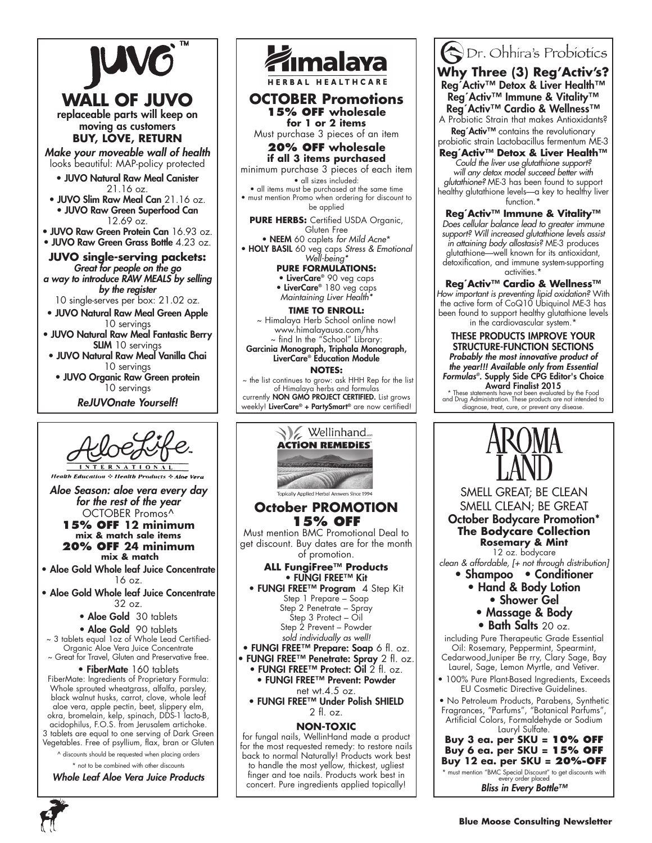





**OCTOBER Promotions 15% OFF wholesale for 1 or 2 items**

Must purchase 3 pieces of an item

**20% OFF wholesale if all 3 items purchased**

minimum purchase 3 pieces of each item • all sizes included:

• all items must be purchased at the same time • must mention Promo when ordering for discount to be applied

**PURE HERBS:** Certified USDA Organic, Gluten Free

• NEEM 60 caplets *for Mild Acne*\* • HOLY BASIL 60 veg caps *Stress & Emotional* 

> *Well-being\** **PURE FORMULATIONS:** • LiverCare® 90 veg caps

• LiverCare® 180 veg caps *Maintaining Liver Health\**

#### **TIME TO ENROLL:**

~ Himalaya Herb School online now! www.himalayausa.com/hhs ~ find In the "School" Library: Garcinia Monograph, Triphala Monograph,

LiverCare® Education Module **NOTES:** ~ the list continues to grow: ask HHH Rep for the list

of Himalaya herbs and formulas currently NON GMO PROJECT CERTIFIED. List grows weekly! LiverCare® + PartySmart® are now certified!



Dr. Ohhira's Probiotics **Why Three (3) Reg'Activ's?** Reg´Activ™ Detox & Liver Health™ Reg´Activ™ Immune & Vitality™ Reg´Activ™ Cardio & Wellness™

A Probiotic Strain that makes Antioxidants? Reg' Activ™ contains the revolutionary probiotic strain Lactobacillus fermentum ME-3

**Reg´Activ™ Detox & Liver Health™** *Could the liver use glutathione support? will any detox model succeed better with glutathione?* ME-3 has been found to support healthy glutathione levels—a key to healthy liver function.\*

**Reg´Activ™ Immune & Vitality™**  *Does cellular balance lead to greater immune support? Will increased glutathione levels assist in attaining body allostasis?* ME-3 produces glutathione—well known for its antioxidant, detoxification, and immune system-supporting activities.\*

**Reg´Activ™ Cardio & Wellness™** *How important is preventing lipid oxidation?* With the active form of CoQ10 Ubiquinol ME-3 has been found to support healthy glutathione levels in the cardiovascular system.\*

THESE PRODUCTS IMPROVE YOUR STRUCTURE-FUNCTION SECTIONS *Probably the most innovative product of the year!!! Available only from Essential Formulas®*. Supply Side CPG Editor's Choice

**Award Finalist 2015**<br>\* These statements have not been evaluated by the Food<br>and Drug Administration. These products are not intended to diagnose, treat, cure, or prevent any disease.

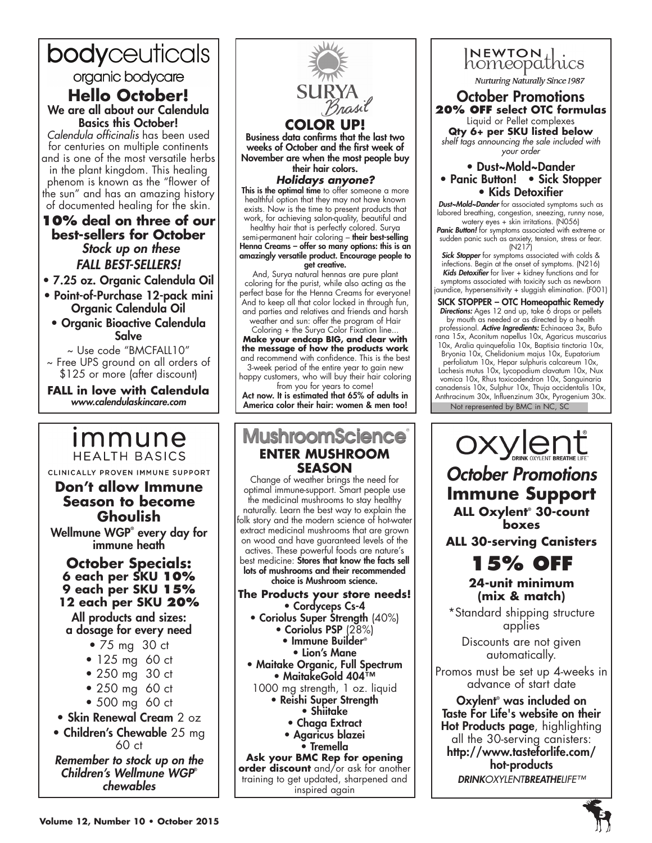# bodyceuticals organic bodycare

# **Hello October!** We are all about our Calendula Basics this October!

*Calendula officinalis* has been used for centuries on multiple continents and is one of the most versatile herbs in the plant kingdom. This healing phenom is known as the "flower of the sun" and has an amazing history of documented healing for the skin.

# **10% deal on three of our best-sellers for October** *Stock up on these FALL BEST-SELLERS!*

• 7.25 oz. Organic Calendula Oil

- Point-of-Purchase 12-pack mini Organic Calendula Oil
- Organic Bioactive Calendula Salve

~ Use code "BMCFALL10" ~ Free UPS ground on all orders of \$125 or more (after discount)

**FALL in love with Calendula** *www.calendulaskincare.com*

# <u>Immune</u> **HFALTH BASICS**

CLINICALLY PROVEN IMMUNE SUPPORT

# **Don't allow Immune Season to become Ghoulish** Wellmune WGP® every day for

immune heath

# **October Specials: 6 each per SKU 10% 9 each per SKU 15% 12 each per SKU 20%**

All products and sizes: a dosage for every need

- 75 mg 30 ct
- 125 mg 60 ct
- 250 mg 30 ct
- 250 mg 60 ct
- 500 mg 60 ct
- Skin Renewal Cream 2 oz

• Children's Chewable 25 mg

60 ct *Remember to stock up on the* 

*Children's Wellmune WGP*® *chewables*



• Agaricus blazei • Tremella **Ask your BMC Rep for opening order discount** and/or ask for another training to get updated, sharpened and inspired again

#### **20% OFF select OTC formulas** Liquid or Pellet complexes **Qty 6+ per SKU listed below** *shelf tags announcing the sale included with your order*

October Promotions

INEWTON thics

Nurturing Naturally Since 1987

## • Dust~Mold~Dander • Panic Button! • Sick Stopper • Kids Detoxifier

*Dust~Mold~Dander* for associated symptoms such as labored breathing, congestion, sneezing, runny nose, watery eyes + skin irritations. (N056)

Panic Button! for symptoms associated with extreme or sudden panic such as anxiety, tension, stress or fear.  $(N217)$ 

*Sick Stopper* for symptoms associated with colds & infections. Begin at the onset of symptoms. (N216) *Kids Detoxifier* for liver + kidney functions and for symptoms associated with toxicity such as newborn jaundice, hypersensitivity + sluggish elimination. (F001)

SICK STOPPER – OTC Homeopathic Remedy Directions: Ages 12 and up, take 6 drops or pellets by mouth as needed or as directed by a health professional. *Active Ingredients:* Echinacea 3x, Bufo rana 15x, Aconitum napellus 10x, Agaricus muscarius 10x, Aralia quinquefolia 10x, Baptisia tinctoria 10x, Bryonia 10x, Chelidonium majus 10x, Eupatorium perfoliatum 10x, Hepar sulphuris calcareum 10x, Lachesis mutus 10x, Lycopodium clavatum 10x, Nux

Not represented by BMC in NC, SC vomica 10x, Rhus toxicodendron 10x, Sanguinaria canadensis 10x, Sulphur 10x, Thuja occidentalis 10x, Anthracinum 30x, Influenzinum 30x, Pyrogenium 30x.

**OXYLENT** *October Promotions* **Immune Support ALL Oxylent**®  **30-count boxes**

**ALL 30-serving Canisters**



# **24-unit minimum (mix & match)**

\*Standard shipping structure applies

Discounts are not given automatically.

Promos must be set up 4-weeks in advance of start date

Oxylent® was included on Taste For Life's website on their Hot Products page, highlighting all the 30-serving canisters: http://www.tasteforlife.com/ hot-products *DRINKOXYLENTBREATHELIFE™*

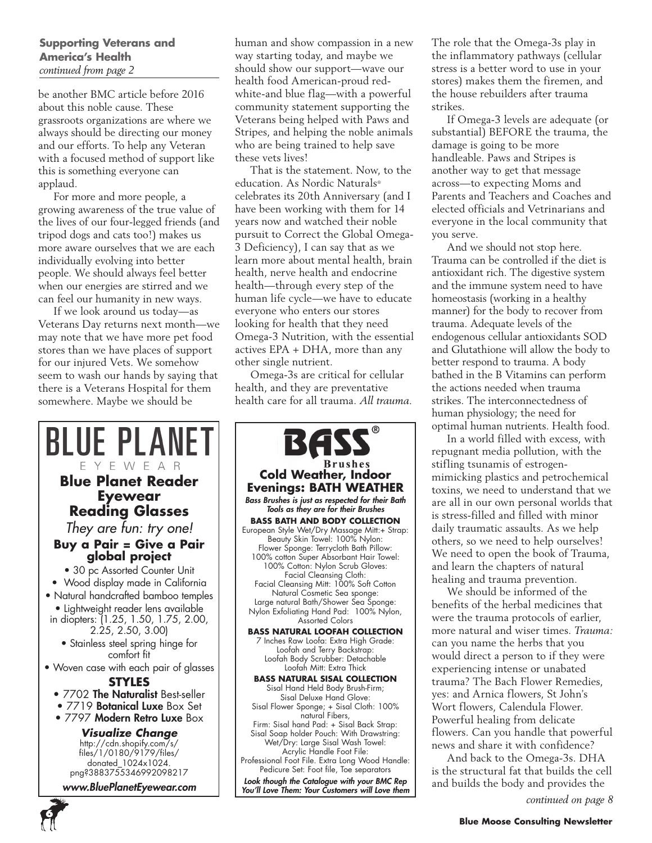## **Supporting Veterans and America's Health**  *continued from page 2*

be another BMC article before 2016 about this noble cause. These grassroots organizations are where we always should be directing our money and our efforts. To help any Veteran with a focused method of support like this is something everyone can applaud.

For more and more people, a growing awareness of the true value of the lives of our four-legged friends (and tripod dogs and cats too!) makes us more aware ourselves that we are each individually evolving into better people. We should always feel better when our energies are stirred and we can feel our humanity in new ways.

If we look around us today—as Veterans Day returns next month—we may note that we have more pet food stores than we have places of support for our injured Vets. We somehow seem to wash our hands by saying that there is a Veterans Hospital for them somewhere. Maybe we should be

human and show compassion in a new way starting today, and maybe we should show our support—wave our health food American-proud redwhite-and blue flag—with a powerful community statement supporting the Veterans being helped with Paws and Stripes, and helping the noble animals who are being trained to help save these vets lives!

That is the statement. Now, to the education. As Nordic Naturals® celebrates its 20th Anniversary (and I have been working with them for 14 years now and watched their noble pursuit to Correct the Global Omega-3 Deficiency), I can say that as we learn more about mental health, brain health, nerve health and endocrine health—through every step of the human life cycle—we have to educate everyone who enters our stores looking for health that they need Omega-3 Nutrition, with the essential actives EPA + DHA, more than any other single nutrient.

Omega-3s are critical for cellular health, and they are preventative health care for all trauma. *All trauma.* 



**6**

**Brushes Cold Weather, Indoor Evenings: BATH WEATHER** *Bass Brushes is just as respected for their Bath Tools as they are for their Brushes* **BASS BATH AND BODY COLLECTION** European Style Wet/Dry Massage Mitt:+ Strap: Beauty Skin Towel: 100% Nylon: Flower Sponge: Terrycloth Bath Pillow: 100% cotton Super Absorbant Hair Towel: 100% Cotton: Nylon Scrub Gloves: Facial Cleansing Cloth: Facial Cleansing Mitt: 100% Soft Cotton Natural Cosmetic Sea sponge: Large natural Bath/Shower Sea Sponge: Nylon Exfoliating Hand Pad: 100% Nylon, Assorted Colors **BASS NATURAL LOOFAH COLLECTION** 7 Inches Raw Loofa: Extra High Grade: Loofah and Terry Backstrap: Loofah Body Scrubber: Detachable Loofah Mitt: Extra Thick **BASS NATURAL SISAL COLLECTION** Sisal Hand Held Body Brush-Firm; Sisal Deluxe Hand Glove: Sisal Flower Sponge; + Sisal Cloth: 100% natural Fibers, Firm: Sisal hand Pad: + Sisal Back Strap: Sisal Soap holder Pouch: With Drawstring: Wet/Dry: Large Sisal Wash Towel: Acrylic Handle Foot File: Professional Foot File. Extra Long Wood Handle: Pedicure Set: Foot file, Toe separators *Look though the Catalogue with your BMC Rep*

*You'll Love Them: Your Customers will Love them*

The role that the Omega-3s play in the inflammatory pathways (cellular stress is a better word to use in your stores) makes them the firemen, and the house rebuilders after trauma strikes.

If Omega-3 levels are adequate (or substantial) BEFORE the trauma, the damage is going to be more handleable. Paws and Stripes is another way to get that message across—to expecting Moms and Parents and Teachers and Coaches and elected officials and Vetrinarians and everyone in the local community that you serve.

And we should not stop here. Trauma can be controlled if the diet is antioxidant rich. The digestive system and the immune system need to have homeostasis (working in a healthy manner) for the body to recover from trauma. Adequate levels of the endogenous cellular antioxidants SOD and Glutathione will allow the body to better respond to trauma. A body bathed in the B Vitamins can perform the actions needed when trauma strikes. The interconnectedness of human physiology; the need for optimal human nutrients. Health food.

In a world filled with excess, with repugnant media pollution, with the stifling tsunamis of estrogenmimicking plastics and petrochemical toxins, we need to understand that we are all in our own personal worlds that is stress-filled and filled with minor daily traumatic assaults. As we help others, so we need to help ourselves! We need to open the book of Trauma, and learn the chapters of natural healing and trauma prevention.

We should be informed of the benefits of the herbal medicines that were the trauma protocols of earlier, more natural and wiser times. *Trauma:*  can you name the herbs that you would direct a person to if they were experiencing intense or unabated trauma? The Bach Flower Remedies, yes: and Arnica flowers, St John's Wort flowers, Calendula Flower. Powerful healing from delicate flowers. Can you handle that powerful news and share it with confidence?

And back to the Omega-3s. DHA is the structural fat that builds the cell and builds the body and provides the

*continued on page 8*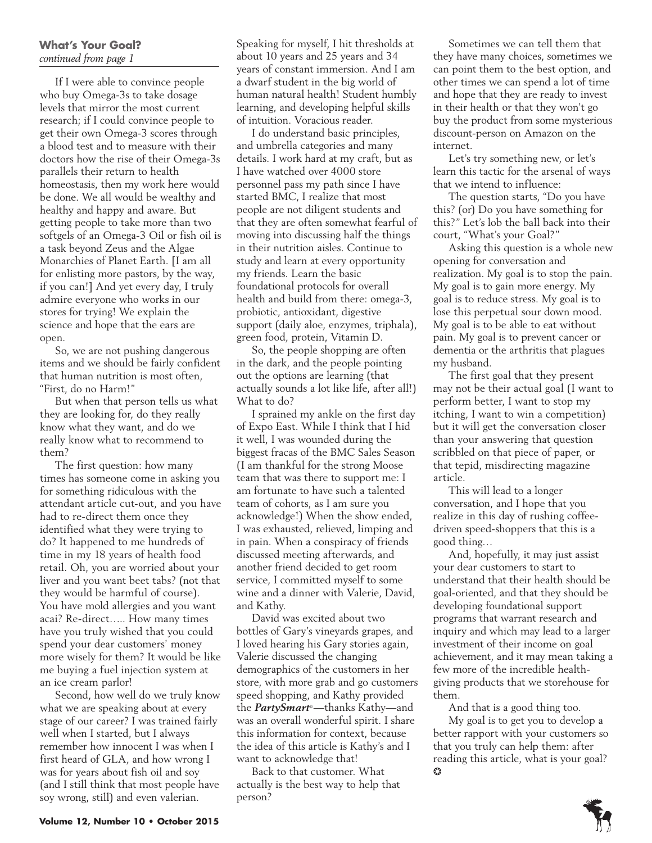## **What's Your Goal?**  *continued from page 1*

If I were able to convince people who buy Omega-3s to take dosage levels that mirror the most current research; if I could convince people to get their own Omega-3 scores through a blood test and to measure with their doctors how the rise of their Omega-3s parallels their return to health homeostasis, then my work here would be done. We all would be wealthy and healthy and happy and aware. But getting people to take more than two softgels of an Omega-3 Oil or fish oil is a task beyond Zeus and the Algae Monarchies of Planet Earth. [I am all for enlisting more pastors, by the way, if you can!] And yet every day, I truly admire everyone who works in our stores for trying! We explain the science and hope that the ears are open.

So, we are not pushing dangerous items and we should be fairly confident that human nutrition is most often, "First, do no Harm!"

But when that person tells us what they are looking for, do they really know what they want, and do we really know what to recommend to them?

The first question: how many times has someone come in asking you for something ridiculous with the attendant article cut-out, and you have had to re-direct them once they identified what they were trying to do? It happened to me hundreds of time in my 18 years of health food retail. Oh, you are worried about your liver and you want beet tabs? (not that they would be harmful of course). You have mold allergies and you want acai? Re-direct….. How many times have you truly wished that you could spend your dear customers' money more wisely for them? It would be like me buying a fuel injection system at an ice cream parlor!

Second, how well do we truly know what we are speaking about at every stage of our career? I was trained fairly well when I started, but I always remember how innocent I was when I first heard of GLA, and how wrong I was for years about fish oil and soy (and I still think that most people have soy wrong, still) and even valerian.

Speaking for myself, I hit thresholds at about 10 years and 25 years and 34 years of constant immersion. And I am a dwarf student in the big world of human natural health! Student humbly learning, and developing helpful skills of intuition. Voracious reader.

I do understand basic principles, and umbrella categories and many details. I work hard at my craft, but as I have watched over 4000 store personnel pass my path since I have started BMC, I realize that most people are not diligent students and that they are often somewhat fearful of moving into discussing half the things in their nutrition aisles. Continue to study and learn at every opportunity my friends. Learn the basic foundational protocols for overall health and build from there: omega-3, probiotic, antioxidant, digestive support (daily aloe, enzymes, triphala), green food, protein, Vitamin D.

So, the people shopping are often in the dark, and the people pointing out the options are learning (that actually sounds a lot like life, after all!) What to do?

I sprained my ankle on the first day of Expo East. While I think that I hid it well, I was wounded during the biggest fracas of the BMC Sales Season (I am thankful for the strong Moose team that was there to support me: I am fortunate to have such a talented team of cohorts, as I am sure you acknowledge!) When the show ended, I was exhausted, relieved, limping and in pain. When a conspiracy of friends discussed meeting afterwards, and another friend decided to get room service, I committed myself to some wine and a dinner with Valerie, David, and Kathy.

David was excited about two bottles of Gary's vineyards grapes, and I loved hearing his Gary stories again, Valerie discussed the changing demographics of the customers in her store, with more grab and go customers speed shopping, and Kathy provided the *PartySmart*®—thanks Kathy—and was an overall wonderful spirit. I share this information for context, because the idea of this article is Kathy's and I want to acknowledge that!

Back to that customer. What actually is the best way to help that person?

Sometimes we can tell them that they have many choices, sometimes we can point them to the best option, and other times we can spend a lot of time and hope that they are ready to invest in their health or that they won't go buy the product from some mysterious discount-person on Amazon on the internet.

Let's try something new, or let's learn this tactic for the arsenal of ways that we intend to influence:

The question starts, "Do you have this? (or) Do you have something for this?" Let's lob the ball back into their court, "What's your Goal?"

Asking this question is a whole new opening for conversation and realization. My goal is to stop the pain. My goal is to gain more energy. My goal is to reduce stress. My goal is to lose this perpetual sour down mood. My goal is to be able to eat without pain. My goal is to prevent cancer or dementia or the arthritis that plagues my husband.

The first goal that they present may not be their actual goal (I want to perform better, I want to stop my itching, I want to win a competition) but it will get the conversation closer than your answering that question scribbled on that piece of paper, or that tepid, misdirecting magazine article.

This will lead to a longer conversation, and I hope that you realize in this day of rushing coffeedriven speed-shoppers that this is a good thing…

And, hopefully, it may just assist your dear customers to start to understand that their health should be goal-oriented, and that they should be developing foundational support programs that warrant research and inquiry and which may lead to a larger investment of their income on goal achievement, and it may mean taking a few more of the incredible healthgiving products that we storehouse for them.

And that is a good thing too.

My goal is to get you to develop a better rapport with your customers so that you truly can help them: after reading this article, what is your goal?  $\bullet$